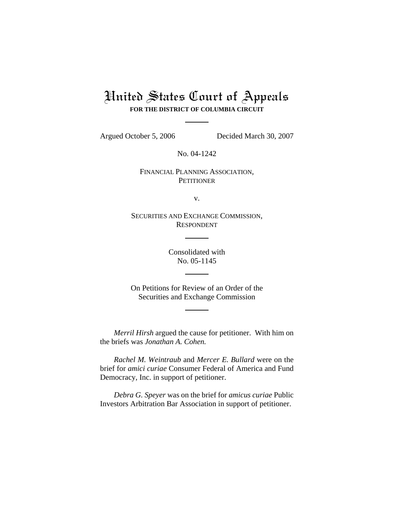# United States Court of Appeals **FOR THE DISTRICT OF COLUMBIA CIRCUIT**

Argued October 5, 2006 Decided March 30, 2007

No. 04-1242

FINANCIAL PLANNING ASSOCIATION, **PETITIONER** 

v.

SECURITIES AND EXCHANGE COMMISSION, RESPONDENT

> Consolidated with No. 05-1145

On Petitions for Review of an Order of the Securities and Exchange Commission

*Merril Hirsh* argued the cause for petitioner. With him on the briefs was *Jonathan A. Cohen.*

*Rachel M. Weintraub* and *Mercer E. Bullard* were on the brief for *amici curiae* Consumer Federal of America and Fund Democracy, Inc. in support of petitioner.

*Debra G. Speyer* was on the brief for *amicus curiae* Public Investors Arbitration Bar Association in support of petitioner.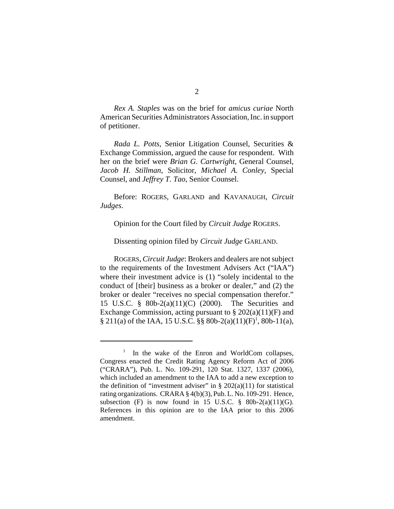*Rex A. Staples* was on the brief for *amicus curiae* North American Securities Administrators Association, Inc. in support of petitioner.

*Rada L. Potts*, Senior Litigation Counsel, Securities & Exchange Commission, argued the cause for respondent. With her on the brief were *Brian G. Cartwright*, General Counsel, *Jacob H. Stillman*, Solicitor, *Michael A. Conley*, Special Counsel, and *Jeffrey T. Tao*, Senior Counsel.

Before: ROGERS, GARLAND and KAVANAUGH, *Circuit Judges*.

Opinion for the Court filed by *Circuit Judge* ROGERS.

Dissenting opinion filed by *Circuit Judge* GARLAND.

ROGERS, *Circuit Judge*: Brokers and dealers are not subject to the requirements of the Investment Advisers Act ("IAA") where their investment advice is (1) "solely incidental to the conduct of [their] business as a broker or dealer," and (2) the broker or dealer "receives no special compensation therefor." 15 U.S.C. § 80b-2(a)(11)(C) (2000). The Securities and Exchange Commission, acting pursuant to  $\S 202(a)(11)$ (F) and § 211(a) of the IAA, 15 U.S.C. §§ 80b-2(a)(11)(F)<sup>1</sup>, 80b-11(a),

<sup>&</sup>lt;sup>1</sup> In the wake of the Enron and WorldCom collapses, Congress enacted the Credit Rating Agency Reform Act of 2006 ("CRARA"), Pub. L. No. 109-291, 120 Stat. 1327, 1337 (2006), which included an amendment to the IAA to add a new exception to the definition of "investment adviser" in  $\S 202(a)(11)$  for statistical rating organizations. CRARA § 4(b)(3), Pub. L. No. 109-291. Hence, subsection (F) is now found in 15 U.S.C.  $\frac{8}{9}$  80b-2(a)(11)(G). References in this opinion are to the IAA prior to this 2006 amendment.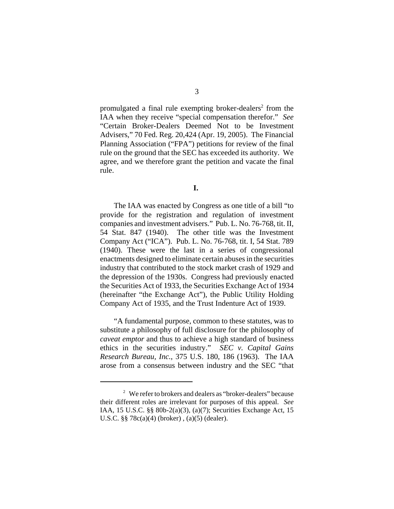promulgated a final rule exempting broker-dealers<sup>2</sup> from the IAA when they receive "special compensation therefor." *See* "Certain Broker-Dealers Deemed Not to be Investment Advisers," 70 Fed. Reg. 20,424 (Apr. 19, 2005). The Financial Planning Association ("FPA") petitions for review of the final rule on the ground that the SEC has exceeded its authority. We agree, and we therefore grant the petition and vacate the final rule.

**I.** 

The IAA was enacted by Congress as one title of a bill "to provide for the registration and regulation of investment companies and investment advisers." Pub. L. No. 76-768, tit. II, 54 Stat. 847 (1940). The other title was the Investment Company Act ("ICA"). Pub. L. No. 76-768, tit. I, 54 Stat. 789 (1940). These were the last in a series of congressional enactments designed to eliminate certain abuses in the securities industry that contributed to the stock market crash of 1929 and the depression of the 1930s. Congress had previously enacted the Securities Act of 1933, the Securities Exchange Act of 1934 (hereinafter "the Exchange Act"), the Public Utility Holding Company Act of 1935, and the Trust Indenture Act of 1939.

"A fundamental purpose, common to these statutes, was to substitute a philosophy of full disclosure for the philosophy of *caveat emptor* and thus to achieve a high standard of business ethics in the securities industry." *SEC v. Capital Gains Research Bureau, Inc.*, 375 U.S. 180, 186 (1963). The IAA arose from a consensus between industry and the SEC "that

<sup>&</sup>lt;sup>2</sup> We refer to brokers and dealers as "broker-dealers" because their different roles are irrelevant for purposes of this appeal. *See* IAA, 15 U.S.C. §§ 80b-2(a)(3), (a)(7); Securities Exchange Act, 15 U.S.C. §§ 78c(a)(4) (broker) , (a)(5) (dealer).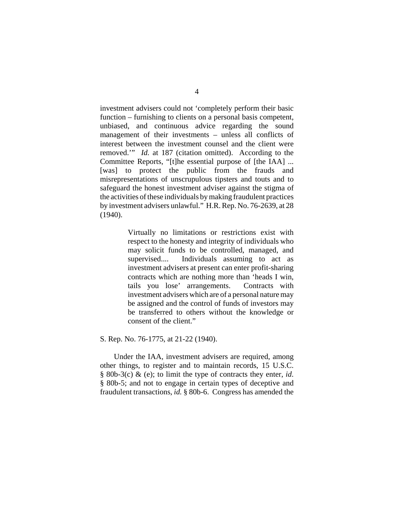investment advisers could not 'completely perform their basic function – furnishing to clients on a personal basis competent, unbiased, and continuous advice regarding the sound management of their investments – unless all conflicts of interest between the investment counsel and the client were removed.'" *Id.* at 187 (citation omitted). According to the Committee Reports, "[t]he essential purpose of [the IAA] ... [was] to protect the public from the frauds and misrepresentations of unscrupulous tipsters and touts and to safeguard the honest investment adviser against the stigma of the activities of these individuals by making fraudulent practices by investment advisers unlawful." H.R. Rep. No. 76-2639, at 28 (1940).

> Virtually no limitations or restrictions exist with respect to the honesty and integrity of individuals who may solicit funds to be controlled, managed, and supervised.... Individuals assuming to act as investment advisers at present can enter profit-sharing contracts which are nothing more than 'heads I win, tails you lose' arrangements. Contracts with investment advisers which are of a personal nature may be assigned and the control of funds of investors may be transferred to others without the knowledge or consent of the client."

## S. Rep. No. 76-1775, at 21-22 (1940).

Under the IAA, investment advisers are required, among other things, to register and to maintain records, 15 U.S.C. § 80b-3(c) & (e); to limit the type of contracts they enter, *id*. § 80b-5; and not to engage in certain types of deceptive and fraudulent transactions, *id.* § 80b-6. Congress has amended the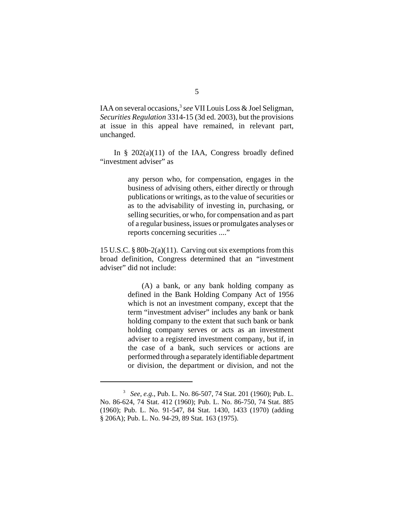IAA on several occasions,<sup>3</sup> see VII Louis Loss & Joel Seligman, *Securities Regulation* 3314-15 (3d ed. 2003), but the provisions at issue in this appeal have remained, in relevant part, unchanged.

In  $\S$  202(a)(11) of the IAA, Congress broadly defined "investment adviser" as

> any person who, for compensation, engages in the business of advising others, either directly or through publications or writings, as to the value of securities or as to the advisability of investing in, purchasing, or selling securities, or who, for compensation and as part of a regular business, issues or promulgates analyses or reports concerning securities ...."

15 U.S.C. § 80b-2(a)(11). Carving out six exemptions from this broad definition, Congress determined that an "investment adviser" did not include:

> (A) a bank, or any bank holding company as defined in the Bank Holding Company Act of 1956 which is not an investment company, except that the term "investment adviser" includes any bank or bank holding company to the extent that such bank or bank holding company serves or acts as an investment adviser to a registered investment company, but if, in the case of a bank, such services or actions are performed through a separately identifiable department or division, the department or division, and not the

<sup>3</sup> *See, e.g.*, Pub. L. No. 86-507, 74 Stat. 201 (1960); Pub. L. No. 86-624, 74 Stat. 412 (1960); Pub. L. No. 86-750, 74 Stat. 885 (1960); Pub. L. No. 91-547, 84 Stat. 1430, 1433 (1970) (adding § 206A); Pub. L. No. 94-29, 89 Stat. 163 (1975).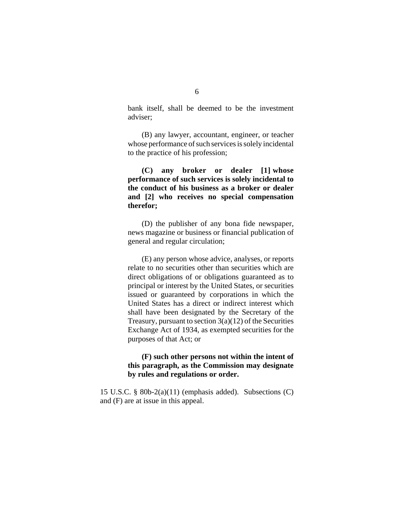bank itself, shall be deemed to be the investment adviser;

(B) any lawyer, accountant, engineer, or teacher whose performance of such services is solely incidental to the practice of his profession;

 **(C) any broker or dealer [1] whose performance of such services is solely incidental to the conduct of his business as a broker or dealer and [2] who receives no special compensation therefor;** 

(D) the publisher of any bona fide newspaper, news magazine or business or financial publication of general and regular circulation;

(E) any person whose advice, analyses, or reports relate to no securities other than securities which are direct obligations of or obligations guaranteed as to principal or interest by the United States, or securities issued or guaranteed by corporations in which the United States has a direct or indirect interest which shall have been designated by the Secretary of the Treasury, pursuant to section  $3(a)(12)$  of the Securities Exchange Act of 1934, as exempted securities for the purposes of that Act; or

# **(F) such other persons not within the intent of this paragraph, as the Commission may designate by rules and regulations or order.**

15 U.S.C. § 80b-2(a)(11) (emphasis added). Subsections (C) and (F) are at issue in this appeal.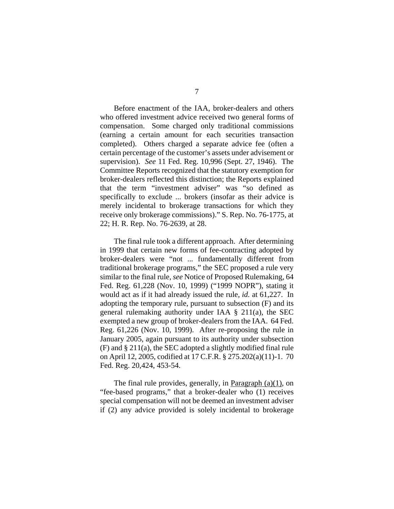Before enactment of the IAA, broker-dealers and others who offered investment advice received two general forms of compensation. Some charged only traditional commissions (earning a certain amount for each securities transaction completed). Others charged a separate advice fee (often a certain percentage of the customer's assets under advisement or supervision). *See* 11 Fed. Reg. 10,996 (Sept. 27, 1946). The Committee Reports recognized that the statutory exemption for broker-dealers reflected this distinction; the Reports explained that the term "investment adviser" was "so defined as specifically to exclude ... brokers (insofar as their advice is merely incidental to brokerage transactions for which they receive only brokerage commissions)." S. Rep. No. 76-1775, at 22; H. R. Rep. No. 76-2639, at 28.

The final rule took a different approach. After determining in 1999 that certain new forms of fee-contracting adopted by broker-dealers were "not ... fundamentally different from traditional brokerage programs," the SEC proposed a rule very similar to the final rule, *see* Notice of Proposed Rulemaking, 64 Fed. Reg. 61,228 (Nov. 10, 1999) ("1999 NOPR"), stating it would act as if it had already issued the rule, *id.* at 61,227. In adopting the temporary rule, pursuant to subsection (F) and its general rulemaking authority under IAA § 211(a), the SEC exempted a new group of broker-dealers from the IAA. 64 Fed. Reg. 61,226 (Nov. 10, 1999). After re-proposing the rule in January 2005, again pursuant to its authority under subsection (F) and § 211(a), the SEC adopted a slightly modified final rule on April 12, 2005, codified at 17 C.F.R. § 275.202(a)(11)-1. 70 Fed. Reg. 20,424, 453-54.

The final rule provides, generally, in Paragraph  $(a)(1)$ , on "fee-based programs," that a broker-dealer who (1) receives special compensation will not be deemed an investment adviser if (2) any advice provided is solely incidental to brokerage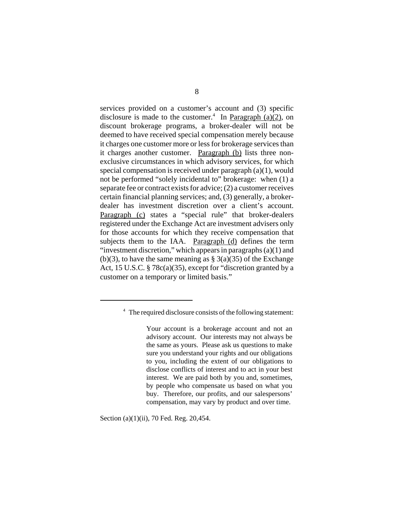services provided on a customer's account and (3) specific disclosure is made to the customer.<sup>4</sup> In Paragraph  $(a)(2)$ , on discount brokerage programs, a broker-dealer will not be deemed to have received special compensation merely because it charges one customer more or less for brokerage services than it charges another customer. Paragraph (b) lists three nonexclusive circumstances in which advisory services, for which special compensation is received under paragraph (a)(1), would not be performed "solely incidental to" brokerage: when (1) a separate fee or contract exists for advice; (2) a customer receives certain financial planning services; and, (3) generally, a brokerdealer has investment discretion over a client's account. Paragraph (c) states a "special rule" that broker-dealers registered under the Exchange Act are investment advisers only for those accounts for which they receive compensation that subjects them to the IAA. Paragraph (d) defines the term "investment discretion," which appears in paragraphs  $(a)(1)$  and (b)(3), to have the same meaning as  $\S$  3(a)(35) of the Exchange Act, 15 U.S.C. § 78c(a)(35), except for "discretion granted by a customer on a temporary or limited basis."

Section (a)(1)(ii), 70 Fed. Reg. 20,454.

<sup>&</sup>lt;sup>4</sup> The required disclosure consists of the following statement:

Your account is a brokerage account and not an advisory account. Our interests may not always be the same as yours. Please ask us questions to make sure you understand your rights and our obligations to you, including the extent of our obligations to disclose conflicts of interest and to act in your best interest. We are paid both by you and, sometimes, by people who compensate us based on what you buy. Therefore, our profits, and our salespersons' compensation, may vary by product and over time.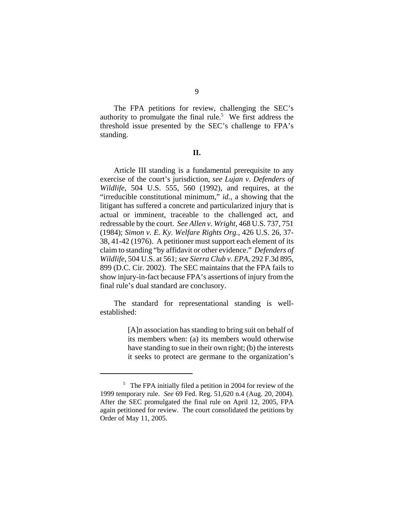The FPA petitions for review, challenging the SEC's authority to promulgate the final rule.<sup>5</sup> We first address the threshold issue presented by the SEC's challenge to FPA's standing.

# **II.**

Article III standing is a fundamental prerequisite to any exercise of the court's jurisdiction, *see Lujan v. Defenders of Wildlife*, 504 U.S. 555, 560 (1992), and requires, at the "irreducible constitutional minimum," *id.*, a showing that the litigant has suffered a concrete and particularized injury that is actual or imminent, traceable to the challenged act, and redressable by the court. *See Allen v. Wright*, 468 U.S. 737, 751 (1984); *Simon v. E. Ky. Welfare Rights Org.*, 426 U.S. 26, 37- 38, 41-42 (1976). A petitioner must support each element of its claim to standing "by affidavit or other evidence." *Defenders of Wildlife*, 504 U.S. at 561; *see Sierra Club v. EPA*, 292 F.3d 895, 899 (D.C. Cir. 2002). The SEC maintains that the FPA fails to show injury-in-fact because FPA's assertions of injury from the final rule's dual standard are conclusory.

The standard for representational standing is wellestablished:

> [A]n association has standing to bring suit on behalf of its members when: (a) its members would otherwise have standing to sue in their own right; (b) the interests it seeks to protect are germane to the organization's

<sup>&</sup>lt;sup>5</sup> The FPA initially filed a petition in 2004 for review of the 1999 temporary rule. *See* 69 Fed. Reg. 51,620 n.4 (Aug. 20, 2004). After the SEC promulgated the final rule on April 12, 2005, FPA again petitioned for review. The court consolidated the petitions by Order of May 11, 2005.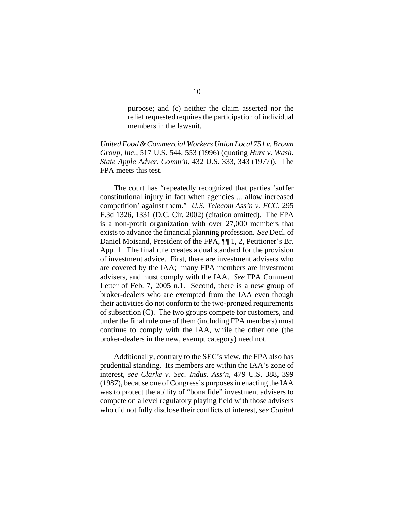purpose; and (c) neither the claim asserted nor the relief requested requires the participation of individual members in the lawsuit.

*United Food & Commercial Workers Union Local 751 v. Brown Group, Inc.*, 517 U.S. 544, 553 (1996) (quoting *Hunt v. Wash. State Apple Adver. Comm'n*, 432 U.S. 333, 343 (1977)). The FPA meets this test.

The court has "repeatedly recognized that parties 'suffer constitutional injury in fact when agencies ... allow increased competition' against them." *U.S. Telecom Ass'n v. FCC*, 295 F.3d 1326, 1331 (D.C. Cir. 2002) (citation omitted). The FPA is a non-profit organization with over 27,000 members that exists to advance the financial planning profession. *See* Decl. of Daniel Moisand, President of the FPA, ¶¶ 1, 2, Petitioner's Br. App. 1. The final rule creates a dual standard for the provision of investment advice. First, there are investment advisers who are covered by the IAA; many FPA members are investment advisers, and must comply with the IAA. *See* FPA Comment Letter of Feb. 7, 2005 n.1. Second, there is a new group of broker-dealers who are exempted from the IAA even though their activities do not conform to the two-pronged requirements of subsection (C). The two groups compete for customers, and under the final rule one of them (including FPA members) must continue to comply with the IAA, while the other one (the broker-dealers in the new, exempt category) need not.

Additionally, contrary to the SEC's view, the FPA also has prudential standing. Its members are within the IAA's zone of interest, *see Clarke v. Sec. Indus. Ass'n*, 479 U.S. 388, 399 (1987), because one of Congress's purposes in enacting the IAA was to protect the ability of "bona fide" investment advisers to compete on a level regulatory playing field with those advisers who did not fully disclose their conflicts of interest, *see Capital*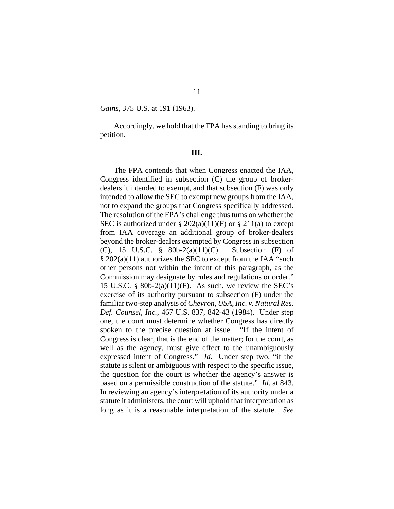*Gains*, 375 U.S. at 191 (1963).

Accordingly, we hold that the FPA has standing to bring its petition.

#### **III.**

The FPA contends that when Congress enacted the IAA, Congress identified in subsection (C) the group of brokerdealers it intended to exempt, and that subsection (F) was only intended to allow the SEC to exempt new groups from the IAA, not to expand the groups that Congress specifically addressed. The resolution of the FPA's challenge thus turns on whether the SEC is authorized under  $\S 202(a)(11)(F)$  or  $\S 211(a)$  to except from IAA coverage an additional group of broker-dealers beyond the broker-dealers exempted by Congress in subsection (C), 15 U.S.C. § 80b-2(a)(11)(C). Subsection (F) of § 202(a)(11) authorizes the SEC to except from the IAA "such other persons not within the intent of this paragraph, as the Commission may designate by rules and regulations or order." 15 U.S.C. § 80b-2(a)(11)(F). As such, we review the SEC's exercise of its authority pursuant to subsection (F) under the familiar two-step analysis of *Chevron, USA, Inc. v. Natural Res. Def. Counsel*, *Inc.*, 467 U.S. 837, 842-43 (1984). Under step one, the court must determine whether Congress has directly spoken to the precise question at issue. "If the intent of Congress is clear, that is the end of the matter; for the court, as well as the agency, must give effect to the unambiguously expressed intent of Congress." *Id.* Under step two, "if the statute is silent or ambiguous with respect to the specific issue, the question for the court is whether the agency's answer is based on a permissible construction of the statute." *Id*. at 843. In reviewing an agency's interpretation of its authority under a statute it administers, the court will uphold that interpretation as long as it is a reasonable interpretation of the statute. *See*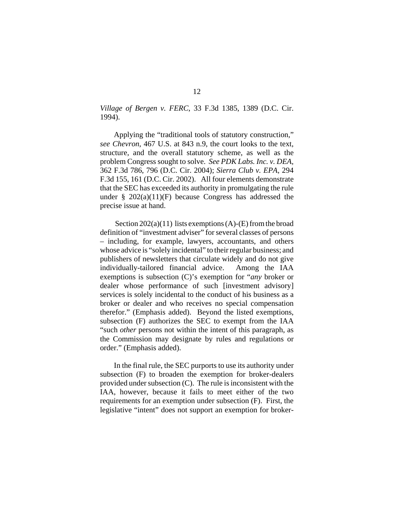*Village of Bergen v. FERC*, 33 F.3d 1385, 1389 (D.C. Cir. 1994).

Applying the "traditional tools of statutory construction," *see Chevron*, 467 U.S. at 843 n.9, the court looks to the text, structure, and the overall statutory scheme, as well as the problem Congress sought to solve. *See PDK Labs. Inc. v. DEA,* 362 F.3d 786, 796 (D.C. Cir. 2004); *Sierra Club v. EPA*, 294 F.3d 155, 161 (D.C. Cir. 2002). All four elements demonstrate that the SEC has exceeded its authority in promulgating the rule under  $\S$  202(a)(11)(F) because Congress has addressed the precise issue at hand.

Section  $202(a)(11)$  lists exemptions (A)-(E) from the broad definition of "investment adviser" for several classes of persons – including, for example, lawyers, accountants, and others whose advice is "solely incidental" to their regular business; and publishers of newsletters that circulate widely and do not give individually-tailored financial advice. Among the IAA exemptions is subsection (C)'s exemption for "*any* broker or dealer whose performance of such [investment advisory] services is solely incidental to the conduct of his business as a broker or dealer and who receives no special compensation therefor." (Emphasis added). Beyond the listed exemptions, subsection (F) authorizes the SEC to exempt from the IAA "such *other* persons not within the intent of this paragraph, as the Commission may designate by rules and regulations or order." (Emphasis added).

In the final rule, the SEC purports to use its authority under subsection (F) to broaden the exemption for broker-dealers provided under subsection (C). The rule is inconsistent with the IAA, however, because it fails to meet either of the two requirements for an exemption under subsection (F). First, the legislative "intent" does not support an exemption for broker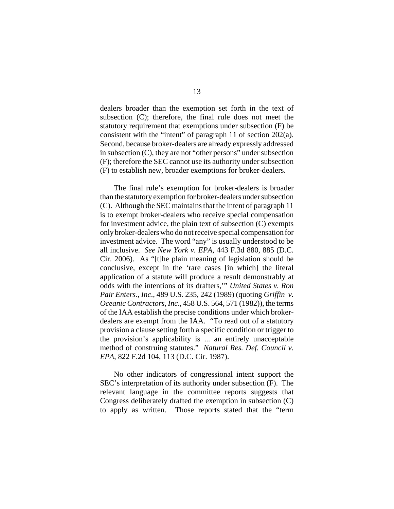dealers broader than the exemption set forth in the text of subsection (C); therefore, the final rule does not meet the statutory requirement that exemptions under subsection (F) be consistent with the "intent" of paragraph 11 of section 202(a). Second, because broker-dealers are already expressly addressed in subsection (C), they are not "other persons" under subsection (F); therefore the SEC cannot use its authority under subsection (F) to establish new, broader exemptions for broker-dealers.

The final rule's exemption for broker-dealers is broader than the statutory exemption for broker-dealers under subsection (C). Although the SEC maintains that the intent of paragraph 11 is to exempt broker-dealers who receive special compensation for investment advice, the plain text of subsection (C) exempts only broker-dealers who do not receive special compensation for investment advice. The word "any" is usually understood to be all inclusive. *See New York v. EPA*, 443 F.3d 880, 885 (D.C. Cir. 2006). As "[t]he plain meaning of legislation should be conclusive, except in the 'rare cases [in which] the literal application of a statute will produce a result demonstrably at odds with the intentions of its drafters,'" *United States v. Ron Pair Enters., Inc*., 489 U.S. 235, 242 (1989) (quoting *Griffin v. Oceanic Contractors, Inc*., 458 U.S. 564, 571 (1982)), the terms of the IAA establish the precise conditions under which brokerdealers are exempt from the IAA. "To read out of a statutory provision a clause setting forth a specific condition or trigger to the provision's applicability is ... an entirely unacceptable method of construing statutes." *Natural Res. Def. Council v. EPA*, 822 F.2d 104, 113 (D.C. Cir. 1987).

No other indicators of congressional intent support the SEC's interpretation of its authority under subsection (F). The relevant language in the committee reports suggests that Congress deliberately drafted the exemption in subsection (C) to apply as written. Those reports stated that the "term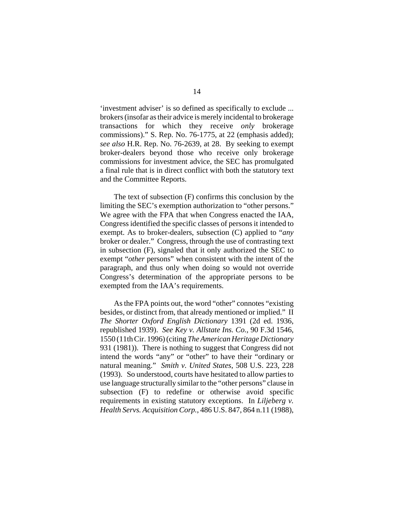'investment adviser' is so defined as specifically to exclude ... brokers (insofar as their advice is merely incidental to brokerage transactions for which they receive *only* brokerage commissions)." S. Rep. No. 76-1775, at 22 (emphasis added); *see also* H.R. Rep. No. 76-2639, at 28. By seeking to exempt broker-dealers beyond those who receive only brokerage commissions for investment advice, the SEC has promulgated a final rule that is in direct conflict with both the statutory text and the Committee Reports.

The text of subsection (F) confirms this conclusion by the limiting the SEC's exemption authorization to "other persons." We agree with the FPA that when Congress enacted the IAA, Congress identified the specific classes of persons it intended to exempt. As to broker-dealers, subsection (C) applied to "*any* broker or dealer." Congress, through the use of contrasting text in subsection (F), signaled that it only authorized the SEC to exempt "*other* persons" when consistent with the intent of the paragraph, and thus only when doing so would not override Congress's determination of the appropriate persons to be exempted from the IAA's requirements.

As the FPA points out, the word "other" connotes "existing besides, or distinct from, that already mentioned or implied." II *The Shorter Oxford English Dictionary* 1391 (2d ed. 1936, republished 1939). *See Key v. Allstate Ins. Co.,* 90 F.3d 1546, 1550 (11th Cir. 1996) (citing *The American Heritage Dictionary* 931 (1981)). There is nothing to suggest that Congress did not intend the words "any" or "other" to have their "ordinary or natural meaning." *Smith v. United States*, 508 U.S. 223, 228 (1993). So understood, courts have hesitated to allow parties to use language structurally similar to the "other persons" clause in subsection (F) to redefine or otherwise avoid specific requirements in existing statutory exceptions. In *Liljeberg v. Health Servs. Acquisition Corp.*, 486 U.S. 847, 864 n.11 (1988),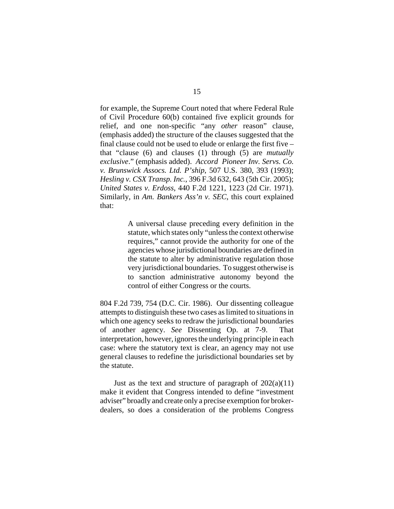for example, the Supreme Court noted that where Federal Rule of Civil Procedure 60(b) contained five explicit grounds for relief, and one non-specific "any *other* reason" clause, (emphasis added) the structure of the clauses suggested that the final clause could not be used to elude or enlarge the first five – that "clause (6) and clauses (1) through (5) are *mutually exclusive*." (emphasis added). *Accord Pioneer Inv. Servs. Co. v. Brunswick Assocs. Ltd. P'ship*, 507 U.S. 380, 393 (1993); *Hesling v. CSX Transp. Inc.*, 396 F.3d 632, 643 (5th Cir. 2005); *United States v. Erdoss*, 440 F.2d 1221, 1223 (2d Cir. 1971). Similarly, in *Am. Bankers Ass'n v. SEC*, this court explained that:

> A universal clause preceding every definition in the statute, which states only "unless the context otherwise requires," cannot provide the authority for one of the agencies whose jurisdictional boundaries are defined in the statute to alter by administrative regulation those very jurisdictional boundaries. To suggest otherwise is to sanction administrative autonomy beyond the control of either Congress or the courts.

804 F.2d 739, 754 (D.C. Cir. 1986). Our dissenting colleague attempts to distinguish these two cases as limited to situations in which one agency seeks to redraw the jurisdictional boundaries of another agency. *See* Dissenting Op. at 7-9. That interpretation, however, ignores the underlying principle in each case: where the statutory text is clear, an agency may not use general clauses to redefine the jurisdictional boundaries set by the statute.

Just as the text and structure of paragraph of  $202(a)(11)$ make it evident that Congress intended to define "investment adviser" broadly and create only a precise exemption for brokerdealers, so does a consideration of the problems Congress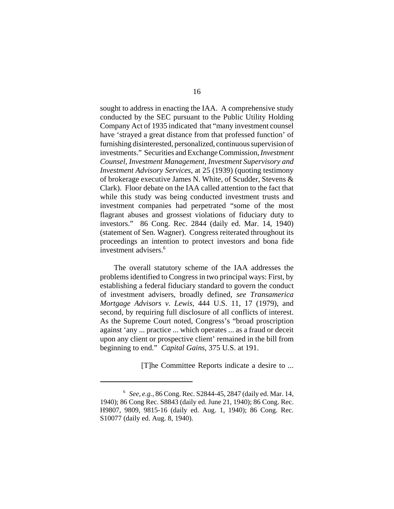sought to address in enacting the IAA. A comprehensive study conducted by the SEC pursuant to the Public Utility Holding Company Act of 1935 indicated that "many investment counsel have 'strayed a great distance from that professed function' of furnishing disinterested, personalized, continuous supervision of investments." Securities and Exchange Commission, *Investment Counsel, Investment Management, Investment Supervisory and Investment Advisory Services*, at 25 (1939) (quoting testimony of brokerage executive James N. White, of Scudder, Stevens & Clark). Floor debate on the IAA called attention to the fact that while this study was being conducted investment trusts and investment companies had perpetrated "some of the most flagrant abuses and grossest violations of fiduciary duty to investors." 86 Cong. Rec. 2844 (daily ed. Mar. 14, 1940) (statement of Sen. Wagner). Congress reiterated throughout its proceedings an intention to protect investors and bona fide investment advisers.<sup>6</sup>

The overall statutory scheme of the IAA addresses the problems identified to Congress in two principal ways: First, by establishing a federal fiduciary standard to govern the conduct of investment advisers, broadly defined, *see Transamerica Mortgage Advisors v. Lewis*, 444 U.S. 11, 17 (1979), and second, by requiring full disclosure of all conflicts of interest. As the Supreme Court noted, Congress's "broad proscription against 'any ... practice ... which operates ... as a fraud or deceit upon any client or prospective client' remained in the bill from beginning to end." *Capital Gains*, 375 U.S. at 191.

[T]he Committee Reports indicate a desire to ...

<sup>6</sup> *See, e.g.*, 86 Cong. Rec. S2844-45, 2847 (daily ed. Mar. 14, 1940); 86 Cong Rec. S8843 (daily ed. June 21, 1940); 86 Cong. Rec. H9807, 9809, 9815-16 (daily ed. Aug. 1, 1940); 86 Cong. Rec. S10077 (daily ed. Aug. 8, 1940).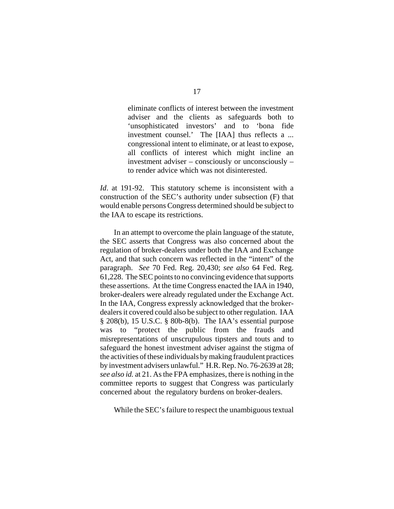eliminate conflicts of interest between the investment adviser and the clients as safeguards both to 'unsophisticated investors' and to 'bona fide investment counsel.' The [IAA] thus reflects a ... congressional intent to eliminate, or at least to expose, all conflicts of interest which might incline an investment adviser – consciously or unconsciously – to render advice which was not disinterested.

*Id*. at 191-92. This statutory scheme is inconsistent with a construction of the SEC's authority under subsection (F) that would enable persons Congress determined should be subject to the IAA to escape its restrictions.

In an attempt to overcome the plain language of the statute, the SEC asserts that Congress was also concerned about the regulation of broker-dealers under both the IAA and Exchange Act, and that such concern was reflected in the "intent" of the paragraph. *See* 70 Fed. Reg. 20,430; *see also* 64 Fed. Reg. 61,228. The SEC points to no convincing evidence that supports these assertions. At the time Congress enacted the IAA in 1940, broker-dealers were already regulated under the Exchange Act. In the IAA, Congress expressly acknowledged that the brokerdealers it covered could also be subject to other regulation. IAA § 208(b), 15 U.S.C. § 80b-8(b). The IAA's essential purpose was to "protect the public from the frauds and misrepresentations of unscrupulous tipsters and touts and to safeguard the honest investment adviser against the stigma of the activities of these individuals by making fraudulent practices by investment advisers unlawful." H.R. Rep. No. 76-2639 at 28; *see also id.* at 21. As the FPA emphasizes, there is nothing in the committee reports to suggest that Congress was particularly concerned about the regulatory burdens on broker-dealers.

While the SEC's failure to respect the unambiguous textual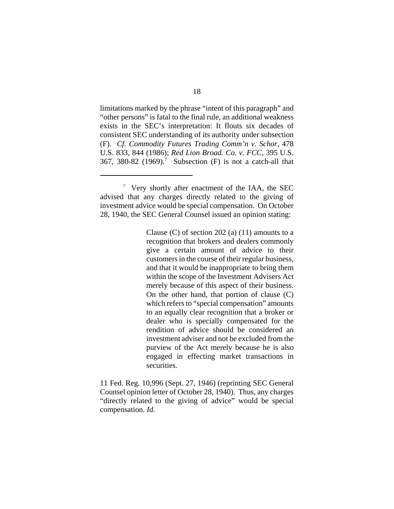limitations marked by the phrase "intent of this paragraph" and "other persons" is fatal to the final rule, an additional weakness exists in the SEC's interpretation: It flouts six decades of consistent SEC understanding of its authority under subsection (F). *Cf. Commodity Futures Trading Comm'n v. Schor*, 478 U.S. 833, 844 (1986); *Red Lion Broad. Co. v. FCC*, 395 U.S. 367, 380-82 (1969).<sup>7</sup> Subsection (F) is not a catch-all that

Clause (C) of section 202 (a)  $(11)$  amounts to a recognition that brokers and dealers commonly give a certain amount of advice to their customers in the course of their regular business, and that it would be inappropriate to bring them within the scope of the Investment Advisers Act merely because of this aspect of their business. On the other hand, that portion of clause (C) which refers to "special compensation" amounts to an equally clear recognition that a broker or dealer who is specially compensated for the rendition of advice should be considered an investment adviser and not be excluded from the purview of the Act merely because he is also engaged in effecting market transactions in securities.

11 Fed. Reg. 10,996 (Sept. 27, 1946) (reprinting SEC General Counsel opinion letter of October 28, 1940). Thus, any charges "directly related to the giving of advice" would be special compensation. *Id.*

<sup>7</sup> Very shortly after enactment of the IAA, the SEC advised that any charges directly related to the giving of investment advice would be special compensation. On October 28, 1940, the SEC General Counsel issued an opinion stating: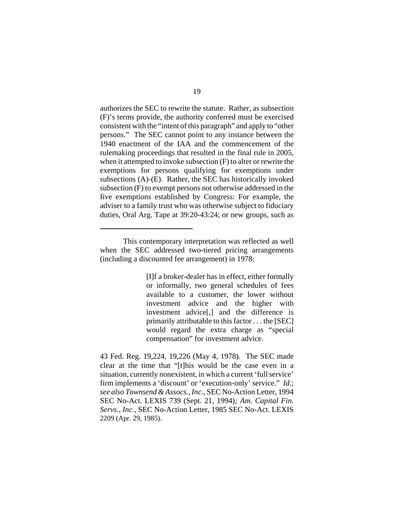authorizes the SEC to rewrite the statute. Rather, as subsection (F)'s terms provide, the authority conferred must be exercised consistent with the "intent of this paragraph" and apply to "other persons." The SEC cannot point to any instance between the 1940 enactment of the IAA and the commencement of the rulemaking proceedings that resulted in the final rule in 2005, when it attempted to invoke subsection (F) to alter or rewrite the exemptions for persons qualifying for exemptions under subsections (A)-(E). Rather, the SEC has historically invoked subsection (F) to exempt persons not otherwise addressed in the five exemptions established by Congress: For example, the adviser to a family trust who was otherwise subject to fiduciary duties, Oral Arg. Tape at 39:20-43:24; or new groups, such as

[I]f a broker-dealer has in effect, either formally or informally, two general schedules of fees available to a customer, the lower without investment advice and the higher with investment advice[,] and the difference is primarily attributable to this factor . . . the [SEC] would regard the extra charge as "special compensation" for investment advice.

43 Fed. Reg. 19,224, 19,226 (May 4, 1978). The SEC made clear at the time that "[t]his would be the case even in a situation, currently nonexistent, in which a current 'full service' firm implements a 'discount' or 'execution-only' service." *Id.*; *see also Townsend & Assocs., Inc.*, SEC No-Action Letter, 1994 SEC No-Act. LEXIS 739 (Sept. 21, 1994)*; Am. Capital Fin. Servs., Inc.*, SEC No-Action Letter, 1985 SEC No-Act. LEXIS 2209 (Apr. 29, 1985).

This contemporary interpretation was reflected as well when the SEC addressed two-tiered pricing arrangements (including a discounted fee arrangement) in 1978: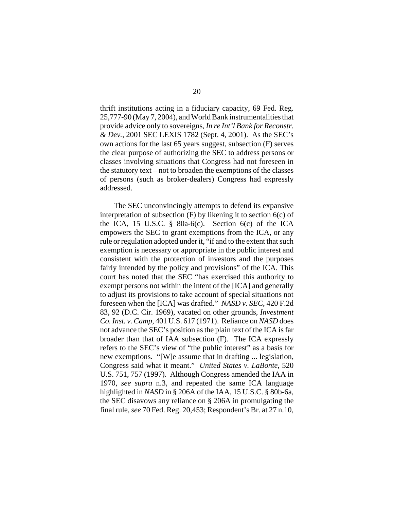thrift institutions acting in a fiduciary capacity, 69 Fed. Reg. 25,777-90 (May 7, 2004), and World Bank instrumentalities that provide advice only to sovereigns, *In re Int'l Bank for Reconstr. & Dev.,* 2001 SEC LEXIS 1782 (Sept. 4, 2001). As the SEC's own actions for the last 65 years suggest, subsection (F) serves the clear purpose of authorizing the SEC to address persons or classes involving situations that Congress had not foreseen in the statutory text – not to broaden the exemptions of the classes of persons (such as broker-dealers) Congress had expressly addressed.

The SEC unconvincingly attempts to defend its expansive interpretation of subsection  $(F)$  by likening it to section  $6(c)$  of the ICA, 15 U.S.C.  $\frac{8}{9}$  80a-6(c). Section 6(c) of the ICA empowers the SEC to grant exemptions from the ICA, or any rule or regulation adopted under it, "if and to the extent that such exemption is necessary or appropriate in the public interest and consistent with the protection of investors and the purposes fairly intended by the policy and provisions" of the ICA. This court has noted that the SEC "has exercised this authority to exempt persons not within the intent of the [ICA] and generally to adjust its provisions to take account of special situations not foreseen when the [ICA] was drafted." *NASD v. SEC*, 420 F.2d 83, 92 (D.C. Cir. 1969), vacated on other grounds, *Investment Co. Inst. v. Camp*, 401 U.S. 617 (1971). Reliance on *NASD* does not advance the SEC's position as the plain text of the ICA is far broader than that of IAA subsection (F). The ICA expressly refers to the SEC's view of "the public interest" as a basis for new exemptions. "[W]e assume that in drafting ... legislation, Congress said what it meant." *United States v. LaBonte*, 520 U.S. 751, 757 (1997). Although Congress amended the IAA in 1970, *see supra* n.3, and repeated the same ICA language highlighted in *NASD* in § 206A of the IAA, 15 U.S.C. § 80b-6a, the SEC disavows any reliance on § 206A in promulgating the final rule, *see* 70 Fed. Reg. 20,453; Respondent's Br. at 27 n.10,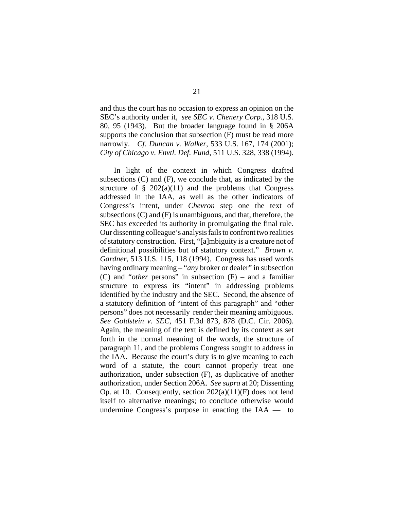and thus the court has no occasion to express an opinion on the SEC's authority under it, *see SEC v. Chenery Corp.*, 318 U.S. 80, 95 (1943). But the broader language found in § 206A supports the conclusion that subsection (F) must be read more narrowly. *Cf. Duncan v. Walker*, 533 U.S. 167, 174 (2001); *City of Chicago v. Envtl. Def. Fund*, 511 U.S. 328, 338 (1994).

In light of the context in which Congress drafted subsections (C) and (F), we conclude that, as indicated by the structure of  $\S$  202(a)(11) and the problems that Congress addressed in the IAA, as well as the other indicators of Congress's intent, under *Chevron* step one the text of subsections (C) and (F) is unambiguous, and that, therefore, the SEC has exceeded its authority in promulgating the final rule. Our dissenting colleague's analysis fails to confront two realities of statutory construction. First, "[a]mbiguity is a creature not of definitional possibilities but of statutory context." *Brown v. Gardner*, 513 U.S. 115, 118 (1994). Congress has used words having ordinary meaning – "*any* broker or dealer" in subsection (C) and "*other* persons" in subsection (F) – and a familiar structure to express its "intent" in addressing problems identified by the industry and the SEC. Second, the absence of a statutory definition of "intent of this paragraph" and "other persons" does not necessarily render their meaning ambiguous. *See Goldstein v. SEC*, 451 F.3d 873, 878 (D.C. Cir. 2006). Again, the meaning of the text is defined by its context as set forth in the normal meaning of the words, the structure of paragraph 11, and the problems Congress sought to address in the IAA. Because the court's duty is to give meaning to each word of a statute, the court cannot properly treat one authorization, under subsection (F), as duplicative of another authorization, under Section 206A. *See supra* at 20; Dissenting Op. at 10. Consequently, section 202(a)(11)(F) does not lend itself to alternative meanings; to conclude otherwise would undermine Congress's purpose in enacting the IAA — to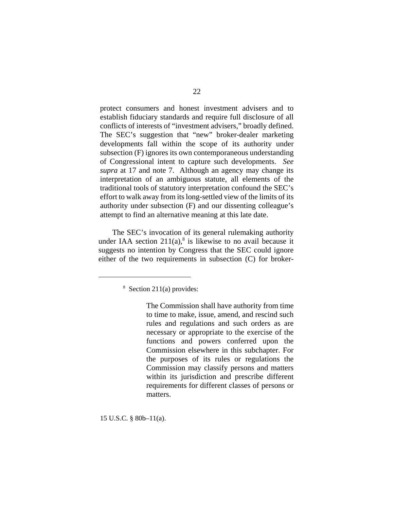protect consumers and honest investment advisers and to establish fiduciary standards and require full disclosure of all conflicts of interests of "investment advisers," broadly defined. The SEC's suggestion that "new" broker-dealer marketing developments fall within the scope of its authority under subsection (F) ignores its own contemporaneous understanding of Congressional intent to capture such developments. *See supra* at 17 and note 7. Although an agency may change its interpretation of an ambiguous statute, all elements of the traditional tools of statutory interpretation confound the SEC's effort to walk away from its long-settled view of the limits of its authority under subsection (F) and our dissenting colleague's attempt to find an alternative meaning at this late date.

The SEC's invocation of its general rulemaking authority under IAA section  $211(a)$ <sup>8</sup> is likewise to no avail because it suggests no intention by Congress that the SEC could ignore either of the two requirements in subsection (C) for broker-

15 U.S.C. § 80b–11(a).

<sup>8</sup> Section 211(a) provides:

The Commission shall have authority from time to time to make, issue, amend, and rescind such rules and regulations and such orders as are necessary or appropriate to the exercise of the functions and powers conferred upon the Commission elsewhere in this subchapter. For the purposes of its rules or regulations the Commission may classify persons and matters within its jurisdiction and prescribe different requirements for different classes of persons or matters.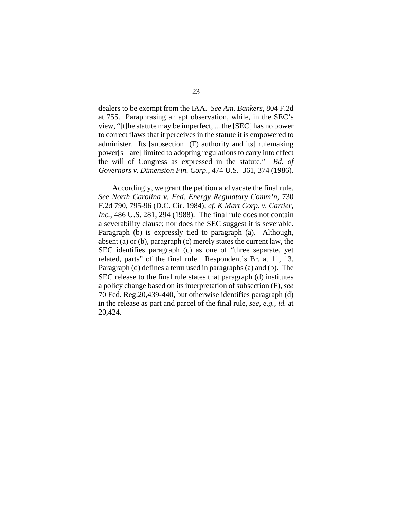dealers to be exempt from the IAA. *See Am. Bankers*, 804 F.2d at 755. Paraphrasing an apt observation, while, in the SEC's view, "[t]he statute may be imperfect, ... the [SEC] has no power to correct flaws that it perceives in the statute it is empowered to administer. Its [subsection (F) authority and its] rulemaking power[s] [are] limited to adopting regulations to carry into effect the will of Congress as expressed in the statute." *Bd. of Governors v. Dimension Fin. Corp.*, 474 U.S. 361, 374 (1986).

Accordingly, we grant the petition and vacate the final rule. *See North Carolina v. Fed. Energy Regulatory Comm'n*, 730 F.2d 790, 795-96 (D.C. Cir. 1984); *cf*. *K Mart Corp. v. Cartier, Inc.*, 486 U.S. 281, 294 (1988). The final rule does not contain a severability clause; nor does the SEC suggest it is severable. Paragraph (b) is expressly tied to paragraph (a). Although, absent (a) or (b), paragraph (c) merely states the current law, the SEC identifies paragraph (c) as one of "three separate, yet related, parts" of the final rule. Respondent's Br. at 11, 13. Paragraph (d) defines a term used in paragraphs (a) and (b). The SEC release to the final rule states that paragraph (d) institutes a policy change based on its interpretation of subsection (F), *see* 70 Fed. Reg.20,439-440, but otherwise identifies paragraph (d) in the release as part and parcel of the final rule, *see, e.g., id.* at 20,424.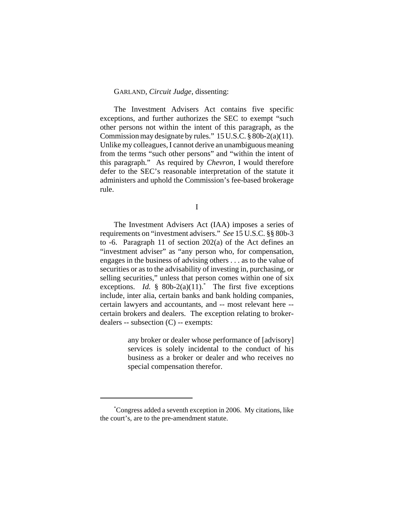### GARLAND, *Circuit Judge*, dissenting:

The Investment Advisers Act contains five specific exceptions, and further authorizes the SEC to exempt "such other persons not within the intent of this paragraph, as the Commission may designate by rules." 15 U.S.C. § 80b-2(a)(11). Unlike my colleagues, I cannot derive an unambiguous meaning from the terms "such other persons" and "within the intent of this paragraph." As required by *Chevron*, I would therefore defer to the SEC's reasonable interpretation of the statute it administers and uphold the Commission's fee-based brokerage rule.

I

The Investment Advisers Act (IAA) imposes a series of requirements on "investment advisers." *See* 15 U.S.C. §§ 80b-3 to -6. Paragraph 11 of section 202(a) of the Act defines an "investment adviser" as "any person who, for compensation, engages in the business of advising others . . . as to the value of securities or as to the advisability of investing in, purchasing, or selling securities," unless that person comes within one of six exceptions. *Id.*  $\frac{1}{5}$  80b-2(a)(11).<sup>\*</sup> The first five exceptions include, inter alia, certain banks and bank holding companies, certain lawyers and accountants, and -- most relevant here - certain brokers and dealers. The exception relating to brokerdealers -- subsection (C) -- exempts:

> any broker or dealer whose performance of [advisory] services is solely incidental to the conduct of his business as a broker or dealer and who receives no special compensation therefor.

<sup>\*</sup> Congress added a seventh exception in 2006. My citations, like the court's, are to the pre-amendment statute.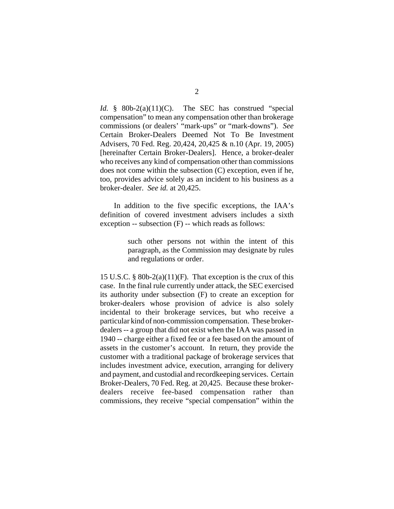*Id.* § 80b-2(a)(11)(C). The SEC has construed "special compensation" to mean any compensation other than brokerage commissions (or dealers' "mark-ups" or "mark-downs"). *See* Certain Broker-Dealers Deemed Not To Be Investment Advisers, 70 Fed. Reg. 20,424, 20,425 & n.10 (Apr. 19, 2005) [hereinafter Certain Broker-Dealers]. Hence, a broker-dealer who receives any kind of compensation other than commissions does not come within the subsection (C) exception, even if he, too, provides advice solely as an incident to his business as a broker-dealer. *See id.* at 20,425.

In addition to the five specific exceptions, the IAA's definition of covered investment advisers includes a sixth exception -- subsection (F) -- which reads as follows:

> such other persons not within the intent of this paragraph, as the Commission may designate by rules and regulations or order.

15 U.S.C. § 80b-2(a)(11)(F). That exception is the crux of this case. In the final rule currently under attack, the SEC exercised its authority under subsection (F) to create an exception for broker-dealers whose provision of advice is also solely incidental to their brokerage services, but who receive a particular kind of non-commission compensation. These brokerdealers -- a group that did not exist when the IAA was passed in 1940 -- charge either a fixed fee or a fee based on the amount of assets in the customer's account. In return, they provide the customer with a traditional package of brokerage services that includes investment advice, execution, arranging for delivery and payment, and custodial and recordkeeping services. Certain Broker-Dealers, 70 Fed. Reg. at 20,425. Because these brokerdealers receive fee-based compensation rather than commissions, they receive "special compensation" within the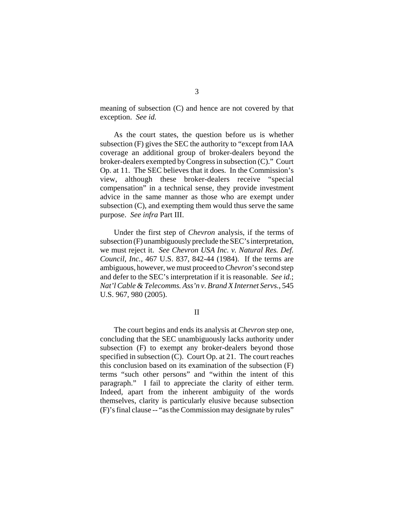meaning of subsection (C) and hence are not covered by that exception. *See id.*

As the court states, the question before us is whether subsection (F) gives the SEC the authority to "except from IAA coverage an additional group of broker-dealers beyond the broker-dealers exempted by Congress in subsection (C)." Court Op. at 11. The SEC believes that it does. In the Commission's view, although these broker-dealers receive "special compensation" in a technical sense, they provide investment advice in the same manner as those who are exempt under subsection (C), and exempting them would thus serve the same purpose. *See infra* Part III.

Under the first step of *Chevron* analysis, if the terms of subsection (F) unambiguously preclude the SEC's interpretation, we must reject it. *See Chevron USA Inc. v. Natural Res. Def. Council, Inc.*, 467 U.S. 837, 842-44 (1984). If the terms are ambiguous, however, we must proceed to *Chevron*'s second step and defer to the SEC's interpretation if it is reasonable. *See id.*; *Nat'l Cable & Telecomms. Ass'n v. Brand X Internet Servs.*, 545 U.S. 967, 980 (2005).

II

The court begins and ends its analysis at *Chevron* step one, concluding that the SEC unambiguously lacks authority under subsection (F) to exempt any broker-dealers beyond those specified in subsection (C). Court Op. at 21. The court reaches this conclusion based on its examination of the subsection (F) terms "such other persons" and "within the intent of this paragraph." I fail to appreciate the clarity of either term. Indeed, apart from the inherent ambiguity of the words themselves, clarity is particularly elusive because subsection (F)'s final clause -- "as the Commission may designate by rules"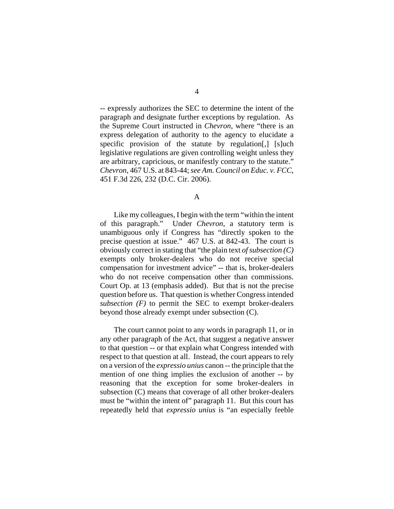-- expressly authorizes the SEC to determine the intent of the paragraph and designate further exceptions by regulation. As the Supreme Court instructed in *Chevron*, where "there is an express delegation of authority to the agency to elucidate a specific provision of the statute by regulation[,] [s]uch legislative regulations are given controlling weight unless they are arbitrary, capricious, or manifestly contrary to the statute." *Chevron*, 467 U.S. at 843-44; *see Am. Council on Educ. v. FCC*, 451 F.3d 226, 232 (D.C. Cir. 2006).

Like my colleagues, I begin with the term "within the intent of this paragraph." Under *Chevron*, a statutory term is unambiguous only if Congress has "directly spoken to the precise question at issue." 467 U.S. at 842-43. The court is obviously correct in stating that "the plain text *of subsection (C)* exempts only broker-dealers who do not receive special compensation for investment advice" -- that is, broker-dealers who do not receive compensation other than commissions. Court Op. at 13 (emphasis added). But that is not the precise question before us. That question is whether Congress intended *subsection (F)* to permit the SEC to exempt broker-dealers beyond those already exempt under subsection (C).

The court cannot point to any words in paragraph 11, or in any other paragraph of the Act, that suggest a negative answer to that question -- or that explain what Congress intended with respect to that question at all. Instead, the court appears to rely on a version of the *expressio unius* canon -- the principle that the mention of one thing implies the exclusion of another -- by reasoning that the exception for some broker-dealers in subsection (C) means that coverage of all other broker-dealers must be "within the intent of" paragraph 11. But this court has repeatedly held that *expressio unius* is "an especially feeble

A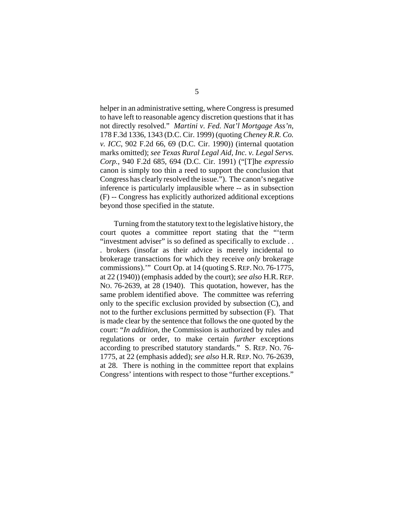helper in an administrative setting, where Congress is presumed to have left to reasonable agency discretion questions that it has not directly resolved." *Martini v. Fed. Nat'l Mortgage Ass'n*, 178 F.3d 1336, 1343 (D.C. Cir. 1999) (quoting *Cheney R.R. Co. v. ICC*, 902 F.2d 66, 69 (D.C. Cir. 1990)) (internal quotation marks omitted); *see Texas Rural Legal Aid, Inc. v. Legal Servs. Corp.*, 940 F.2d 685, 694 (D.C. Cir. 1991) ("[T]he *expressio* canon is simply too thin a reed to support the conclusion that Congress has clearly resolved the issue."). The canon's negative inference is particularly implausible where -- as in subsection (F) -- Congress has explicitly authorized additional exceptions beyond those specified in the statute.

Turning from the statutory text to the legislative history, the court quotes a committee report stating that the "'term "investment adviser" is so defined as specifically to exclude ... . brokers (insofar as their advice is merely incidental to brokerage transactions for which they receive *only* brokerage commissions).'" Court Op. at 14 (quoting S.REP. NO. 76-1775, at 22 (1940)) (emphasis added by the court); *see also* H.R.REP. NO. 76-2639, at 28 (1940). This quotation, however, has the same problem identified above. The committee was referring only to the specific exclusion provided by subsection (C), and not to the further exclusions permitted by subsection (F). That is made clear by the sentence that follows the one quoted by the court: "*In addition*, the Commission is authorized by rules and regulations or order, to make certain *further* exceptions according to prescribed statutory standards." S. REP. NO. 76- 1775, at 22 (emphasis added); *see also* H.R. REP. NO. 76-2639, at 28. There is nothing in the committee report that explains Congress' intentions with respect to those "further exceptions."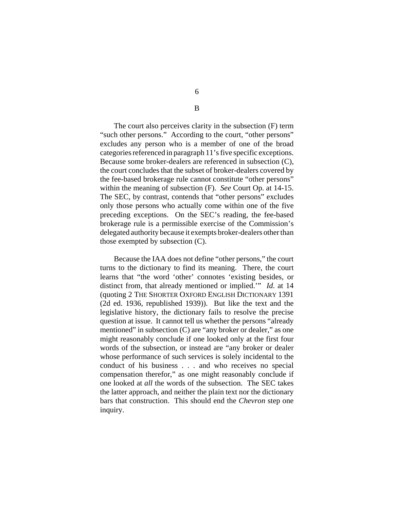The court also perceives clarity in the subsection (F) term "such other persons." According to the court, "other persons" excludes any person who is a member of one of the broad categories referenced in paragraph 11's five specific exceptions. Because some broker-dealers are referenced in subsection (C), the court concludes that the subset of broker-dealers covered by the fee-based brokerage rule cannot constitute "other persons" within the meaning of subsection (F). *See* Court Op. at 14-15. The SEC, by contrast, contends that "other persons" excludes only those persons who actually come within one of the five preceding exceptions. On the SEC's reading, the fee-based brokerage rule is a permissible exercise of the Commission's

delegated authority because it exempts broker-dealers other than

those exempted by subsection (C).

Because the IAA does not define "other persons," the court turns to the dictionary to find its meaning. There, the court learns that "the word 'other' connotes 'existing besides, or distinct from, that already mentioned or implied.'" *Id.* at 14 (quoting 2 THE SHORTER OXFORD ENGLISH DICTIONARY 1391 (2d ed. 1936, republished 1939)). But like the text and the legislative history, the dictionary fails to resolve the precise question at issue. It cannot tell us whether the persons "already mentioned" in subsection (C) are "any broker or dealer," as one might reasonably conclude if one looked only at the first four words of the subsection, or instead are "any broker or dealer whose performance of such services is solely incidental to the conduct of his business . . . and who receives no special compensation therefor," as one might reasonably conclude if one looked at *all* the words of the subsection. The SEC takes the latter approach, and neither the plain text nor the dictionary bars that construction. This should end the *Chevron* step one inquiry.

6

B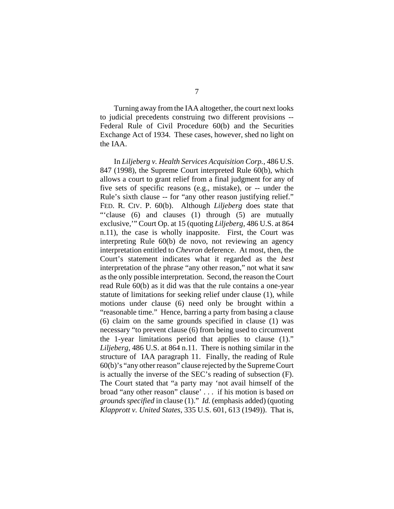Turning away from the IAA altogether, the court next looks to judicial precedents construing two different provisions -- Federal Rule of Civil Procedure 60(b) and the Securities Exchange Act of 1934. These cases, however, shed no light on the IAA.

In *Liljeberg v. Health Services Acquisition Corp.*, 486 U.S. 847 (1998), the Supreme Court interpreted Rule 60(b), which allows a court to grant relief from a final judgment for any of five sets of specific reasons (e.g., mistake), or -- under the Rule's sixth clause -- for "any other reason justifying relief." FED. R. CIV. P. 60(b). Although *Liljeberg* does state that "'clause (6) and clauses (1) through (5) are mutually exclusive,'" Court Op. at 15 (quoting *Liljeberg,* 486 U.S. at 864 n.11), the case is wholly inapposite. First, the Court was interpreting Rule 60(b) de novo, not reviewing an agency interpretation entitled to *Chevron* deference. At most, then, the Court's statement indicates what it regarded as the *best* interpretation of the phrase "any other reason," not what it saw as the only possible interpretation. Second, the reason the Court read Rule 60(b) as it did was that the rule contains a one-year statute of limitations for seeking relief under clause (1), while motions under clause (6) need only be brought within a "reasonable time." Hence, barring a party from basing a clause (6) claim on the same grounds specified in clause (1) was necessary "to prevent clause (6) from being used to circumvent the 1-year limitations period that applies to clause (1)." *Liljeberg*, 486 U.S. at 864 n.11. There is nothing similar in the structure of IAA paragraph 11. Finally, the reading of Rule 60(b)'s "any other reason" clause rejected by the Supreme Court is actually the inverse of the SEC's reading of subsection (F). The Court stated that "a party may 'not avail himself of the broad "any other reason" clause' . . . if his motion is based *on grounds specified* in clause (1)." *Id.* (emphasis added) (quoting *Klapprott v. United States*, 335 U.S. 601, 613 (1949)). That is,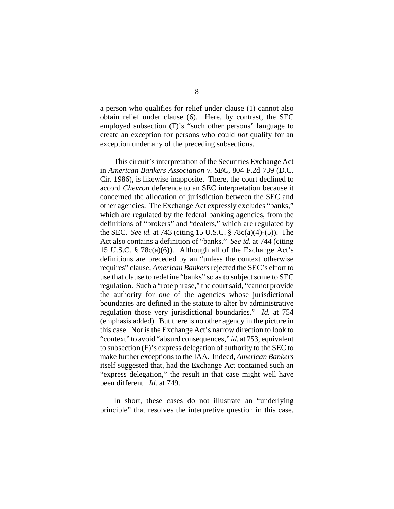a person who qualifies for relief under clause (1) cannot also obtain relief under clause (6). Here, by contrast, the SEC employed subsection (F)'s "such other persons" language to create an exception for persons who could *not* qualify for an exception under any of the preceding subsections.

This circuit's interpretation of the Securities Exchange Act in *American Bankers Association v. SEC*, 804 F.2d 739 (D.C. Cir. 1986), is likewise inapposite. There, the court declined to accord *Chevron* deference to an SEC interpretation because it concerned the allocation of jurisdiction between the SEC and other agencies. The Exchange Act expressly excludes "banks," which are regulated by the federal banking agencies, from the definitions of "brokers" and "dealers," which are regulated by the SEC. *See id.* at 743 (citing 15 U.S.C. § 78c(a)(4)-(5)). The Act also contains a definition of "banks." *See id.* at 744 (citing 15 U.S.C. § 78c(a)(6)). Although all of the Exchange Act's definitions are preceded by an "unless the context otherwise requires" clause, *American Bankers* rejected the SEC's effort to use that clause to redefine "banks" so as to subject some to SEC regulation. Such a "rote phrase," the court said, "cannot provide the authority for *one* of the agencies whose jurisdictional boundaries are defined in the statute to alter by administrative regulation those very jurisdictional boundaries." *Id.* at 754 (emphasis added). But there is no other agency in the picture in this case. Nor is the Exchange Act's narrow direction to look to "context" to avoid "absurd consequences," *id.* at 753, equivalent to subsection (F)'s express delegation of authority to the SEC to make further exceptions to the IAA. Indeed, *American Bankers* itself suggested that, had the Exchange Act contained such an "express delegation," the result in that case might well have been different. *Id.* at 749.

In short, these cases do not illustrate an "underlying principle" that resolves the interpretive question in this case.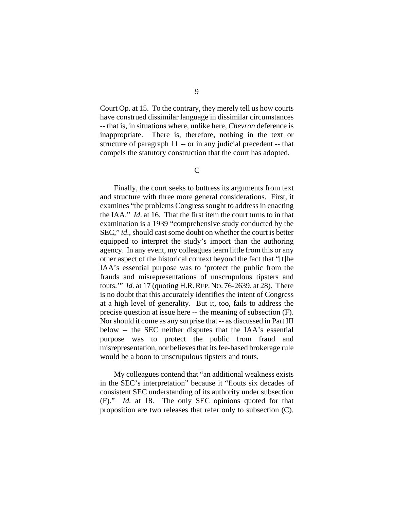Court Op. at 15. To the contrary, they merely tell us how courts have construed dissimilar language in dissimilar circumstances -- that is, in situations where, unlike here, *Chevron* deference is inappropriate. There is, therefore, nothing in the text or structure of paragraph 11 -- or in any judicial precedent -- that compels the statutory construction that the court has adopted.

C

Finally, the court seeks to buttress its arguments from text and structure with three more general considerations. First, it examines "the problems Congress sought to address in enacting the IAA." *Id*. at 16. That the first item the court turns to in that examination is a 1939 "comprehensive study conducted by the SEC," *id*., should cast some doubt on whether the court is better equipped to interpret the study's import than the authoring agency. In any event, my colleagues learn little from this or any other aspect of the historical context beyond the fact that "[t]he IAA's essential purpose was to 'protect the public from the frauds and misrepresentations of unscrupulous tipsters and touts.'" *Id.* at 17 (quoting H.R.REP. NO. 76-2639, at 28). There is no doubt that this accurately identifies the intent of Congress at a high level of generality. But it, too, fails to address the precise question at issue here -- the meaning of subsection (F). Nor should it come as any surprise that -- as discussed in Part III below -- the SEC neither disputes that the IAA's essential purpose was to protect the public from fraud and misrepresentation, nor believes that its fee-based brokerage rule would be a boon to unscrupulous tipsters and touts.

My colleagues contend that "an additional weakness exists in the SEC's interpretation" because it "flouts six decades of consistent SEC understanding of its authority under subsection (F)." *Id.* at 18. The only SEC opinions quoted for that proposition are two releases that refer only to subsection (C).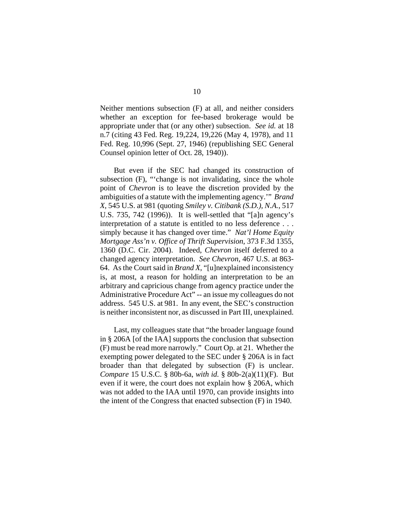Neither mentions subsection (F) at all, and neither considers whether an exception for fee-based brokerage would be appropriate under that (or any other) subsection. *See id.* at 18 n.7 (citing 43 Fed. Reg. 19,224, 19,226 (May 4, 1978), and 11 Fed. Reg. 10,996 (Sept. 27, 1946) (republishing SEC General Counsel opinion letter of Oct. 28, 1940)).

But even if the SEC had changed its construction of subsection (F), "'change is not invalidating, since the whole point of *Chevron* is to leave the discretion provided by the ambiguities of a statute with the implementing agency.'" *Brand X*, 545 U.S. at 981 (quoting *Smiley v. Citibank (S.D.), N.A.*, 517 U.S. 735, 742 (1996)). It is well-settled that "[a]n agency's interpretation of a statute is entitled to no less deference . . . simply because it has changed over time." *Nat'l Home Equity Mortgage Ass'n v. Office of Thrift Supervision*, 373 F.3d 1355, 1360 (D.C. Cir. 2004). Indeed, *Chevron* itself deferred to a changed agency interpretation. *See Chevron*, 467 U.S. at 863- 64. As the Court said in *Brand X*, "[u]nexplained inconsistency is, at most, a reason for holding an interpretation to be an arbitrary and capricious change from agency practice under the Administrative Procedure Act" -- an issue my colleagues do not address. 545 U.S. at 981. In any event, the SEC's construction is neither inconsistent nor, as discussed in Part III, unexplained.

Last, my colleagues state that "the broader language found in § 206A [of the IAA] supports the conclusion that subsection (F) must be read more narrowly." Court Op. at 21. Whether the exempting power delegated to the SEC under § 206A is in fact broader than that delegated by subsection (F) is unclear. *Compare* 15 U.S.C. § 80b-6a, *with id.* § 80b-2(a)(11)(F). But even if it were, the court does not explain how § 206A, which was not added to the IAA until 1970, can provide insights into the intent of the Congress that enacted subsection (F) in 1940.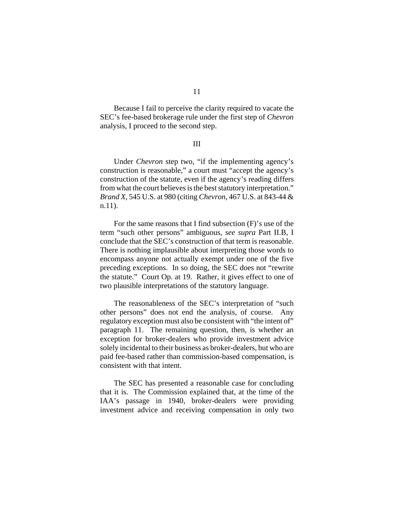Because I fail to perceive the clarity required to vacate the SEC's fee-based brokerage rule under the first step of *Chevron* analysis, I proceed to the second step.

#### III

Under *Chevron* step two, "if the implementing agency's construction is reasonable," a court must "accept the agency's construction of the statute, even if the agency's reading differs from what the court believes is the best statutory interpretation." *Brand X*, 545 U.S. at 980 (citing *Chevron*, 467 U.S. at 843-44 & n.11).

For the same reasons that I find subsection (F)'s use of the term "such other persons" ambiguous, *see supra* Part II.B, I conclude that the SEC's construction of that term is reasonable. There is nothing implausible about interpreting those words to encompass anyone not actually exempt under one of the five preceding exceptions. In so doing, the SEC does not "rewrite the statute." Court Op. at 19. Rather, it gives effect to one of two plausible interpretations of the statutory language.

The reasonableness of the SEC's interpretation of "such other persons" does not end the analysis, of course. Any regulatory exception must also be consistent with "the intent of" paragraph 11. The remaining question, then, is whether an exception for broker-dealers who provide investment advice solely incidental to their business as broker-dealers, but who are paid fee-based rather than commission-based compensation, is consistent with that intent.

The SEC has presented a reasonable case for concluding that it is. The Commission explained that, at the time of the IAA's passage in 1940, broker-dealers were providing investment advice and receiving compensation in only two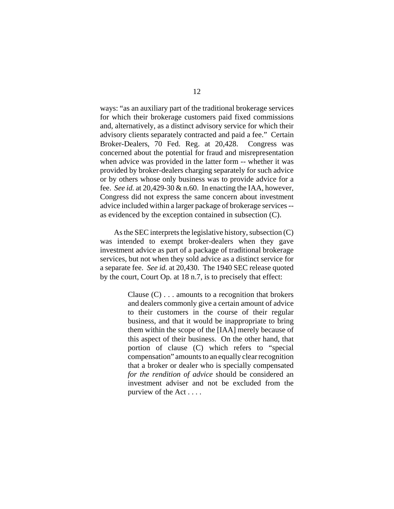ways: "as an auxiliary part of the traditional brokerage services for which their brokerage customers paid fixed commissions and, alternatively, as a distinct advisory service for which their advisory clients separately contracted and paid a fee." Certain Broker-Dealers, 70 Fed. Reg. at 20,428. Congress was concerned about the potential for fraud and misrepresentation when advice was provided in the latter form -- whether it was provided by broker-dealers charging separately for such advice or by others whose only business was to provide advice for a fee. *See id.* at 20,429-30 & n.60. In enacting the IAA, however, Congress did not express the same concern about investment advice included within a larger package of brokerage services - as evidenced by the exception contained in subsection (C).

As the SEC interprets the legislative history, subsection (C) was intended to exempt broker-dealers when they gave investment advice as part of a package of traditional brokerage services, but not when they sold advice as a distinct service for a separate fee. *See id.* at 20,430. The 1940 SEC release quoted by the court, Court Op. at 18 n.7, is to precisely that effect:

> Clause  $(C)$ ... amounts to a recognition that brokers and dealers commonly give a certain amount of advice to their customers in the course of their regular business, and that it would be inappropriate to bring them within the scope of the [IAA] merely because of this aspect of their business. On the other hand, that portion of clause (C) which refers to "special compensation" amounts to an equally clear recognition that a broker or dealer who is specially compensated *for the rendition of advice* should be considered an investment adviser and not be excluded from the purview of the Act . . . .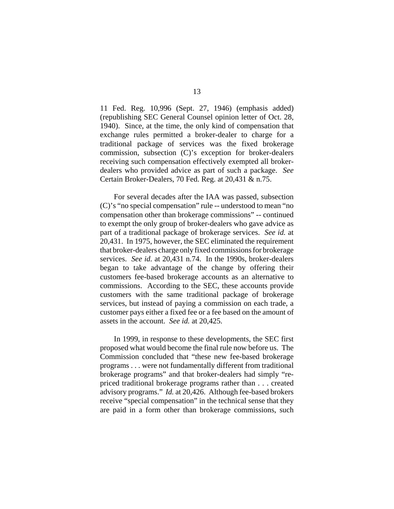11 Fed. Reg. 10,996 (Sept. 27, 1946) (emphasis added) (republishing SEC General Counsel opinion letter of Oct. 28, 1940). Since, at the time, the only kind of compensation that exchange rules permitted a broker-dealer to charge for a traditional package of services was the fixed brokerage commission, subsection (C)'s exception for broker-dealers receiving such compensation effectively exempted all brokerdealers who provided advice as part of such a package. *See* Certain Broker-Dealers, 70 Fed. Reg. at 20,431 & n.75.

For several decades after the IAA was passed, subsection (C)'s "no special compensation" rule -- understood to mean "no compensation other than brokerage commissions" -- continued to exempt the only group of broker-dealers who gave advice as part of a traditional package of brokerage services. *See id.* at 20,431. In 1975, however, the SEC eliminated the requirement that broker-dealers charge only fixed commissions for brokerage services. *See id.* at 20,431 n.74. In the 1990s, broker-dealers began to take advantage of the change by offering their customers fee-based brokerage accounts as an alternative to commissions. According to the SEC, these accounts provide customers with the same traditional package of brokerage services, but instead of paying a commission on each trade, a customer pays either a fixed fee or a fee based on the amount of assets in the account. *See id.* at 20,425.

In 1999, in response to these developments, the SEC first proposed what would become the final rule now before us. The Commission concluded that "these new fee-based brokerage programs . . . were not fundamentally different from traditional brokerage programs" and that broker-dealers had simply "repriced traditional brokerage programs rather than . . . created advisory programs." *Id.* at 20,426. Although fee-based brokers receive "special compensation" in the technical sense that they are paid in a form other than brokerage commissions, such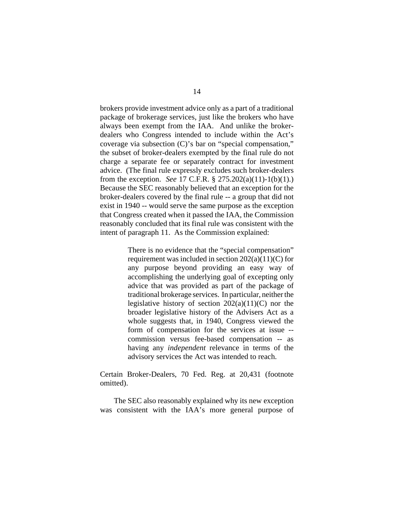brokers provide investment advice only as a part of a traditional package of brokerage services, just like the brokers who have always been exempt from the IAA. And unlike the brokerdealers who Congress intended to include within the Act's coverage via subsection (C)'s bar on "special compensation," the subset of broker-dealers exempted by the final rule do not charge a separate fee or separately contract for investment advice. (The final rule expressly excludes such broker-dealers from the exception. *See* 17 C.F.R. § 275.202(a)(11)-1(b)(1).) Because the SEC reasonably believed that an exception for the broker-dealers covered by the final rule -- a group that did not exist in 1940 -- would serve the same purpose as the exception that Congress created when it passed the IAA, the Commission reasonably concluded that its final rule was consistent with the intent of paragraph 11. As the Commission explained:

> There is no evidence that the "special compensation" requirement was included in section  $202(a)(11)(C)$  for any purpose beyond providing an easy way of accomplishing the underlying goal of excepting only advice that was provided as part of the package of traditional brokerage services. In particular, neither the legislative history of section  $202(a)(11)(C)$  nor the broader legislative history of the Advisers Act as a whole suggests that, in 1940, Congress viewed the form of compensation for the services at issue - commission versus fee-based compensation -- as having any *independent* relevance in terms of the advisory services the Act was intended to reach.

Certain Broker-Dealers, 70 Fed. Reg. at 20,431 (footnote omitted).

The SEC also reasonably explained why its new exception was consistent with the IAA's more general purpose of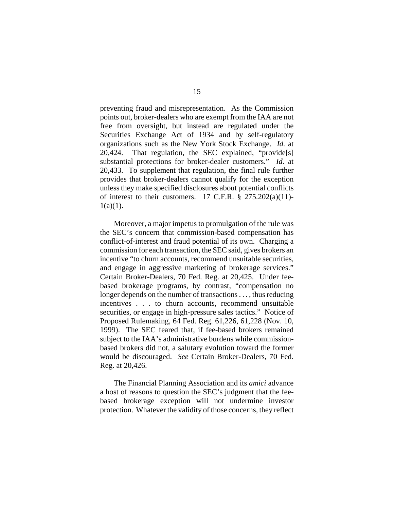preventing fraud and misrepresentation. As the Commission points out, broker-dealers who are exempt from the IAA are not free from oversight, but instead are regulated under the Securities Exchange Act of 1934 and by self-regulatory organizations such as the New York Stock Exchange. *Id.* at 20,424. That regulation, the SEC explained, "provide[s] substantial protections for broker-dealer customers." *Id.* at 20,433. To supplement that regulation, the final rule further provides that broker-dealers cannot qualify for the exception unless they make specified disclosures about potential conflicts of interest to their customers. 17 C.F.R.  $\S$  275.202(a)(11)- $1(a)(1)$ .

Moreover, a major impetus to promulgation of the rule was the SEC's concern that commission-based compensation has conflict-of-interest and fraud potential of its own. Charging a commission for each transaction, the SEC said, gives brokers an incentive "to churn accounts, recommend unsuitable securities, and engage in aggressive marketing of brokerage services." Certain Broker-Dealers, 70 Fed. Reg. at 20,425. Under feebased brokerage programs, by contrast, "compensation no longer depends on the number of transactions . . . , thus reducing incentives . . . to churn accounts, recommend unsuitable securities, or engage in high-pressure sales tactics." Notice of Proposed Rulemaking, 64 Fed. Reg. 61,226, 61,228 (Nov. 10, 1999). The SEC feared that, if fee-based brokers remained subject to the IAA's administrative burdens while commissionbased brokers did not, a salutary evolution toward the former would be discouraged. *See* Certain Broker-Dealers, 70 Fed. Reg. at 20,426.

The Financial Planning Association and its *amici* advance a host of reasons to question the SEC's judgment that the feebased brokerage exception will not undermine investor protection. Whatever the validity of those concerns, they reflect